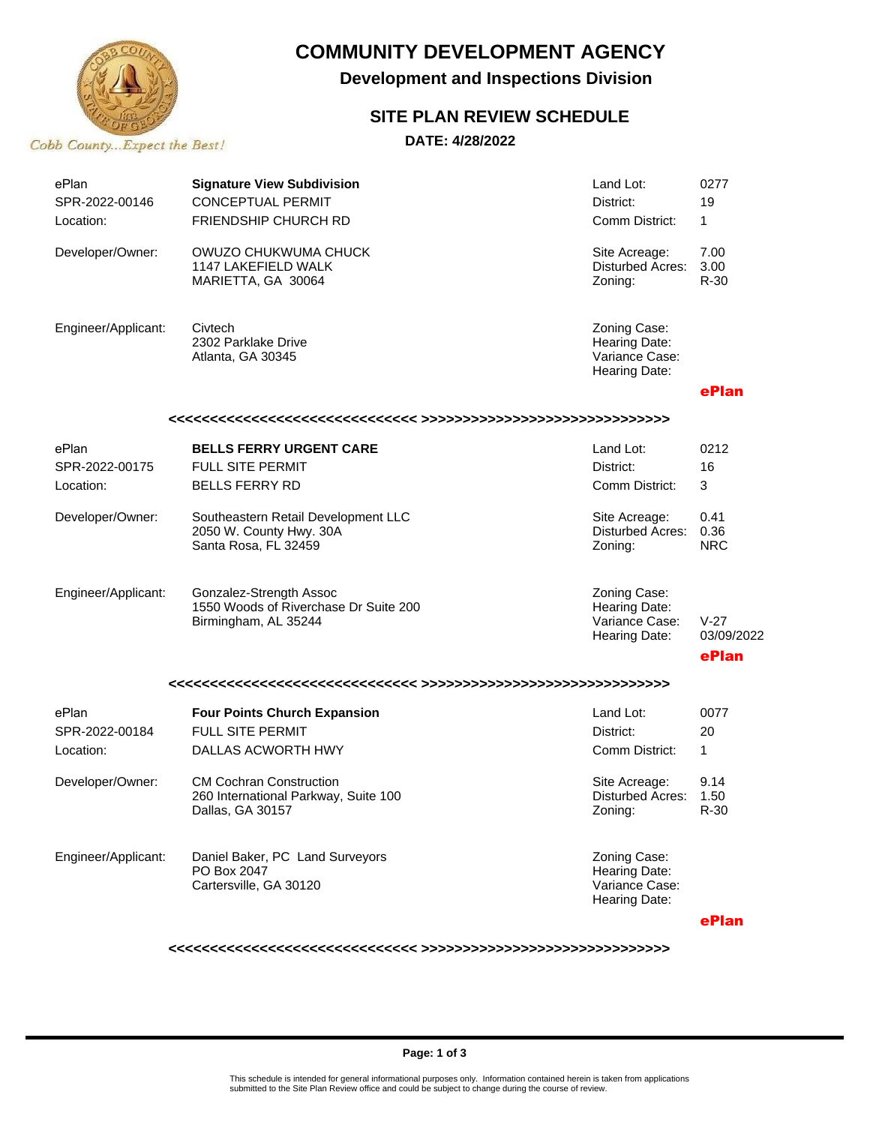

# **COMMUNITY DEVELOPMENT AGENCY**

**Development and Inspections Division**

### **SITE PLAN REVIEW SCHEDULE**

**DATE: 4/28/2022**

| ePlan<br>SPR-2022-00146              | <b>Signature View Subdivision</b><br><b>CONCEPTUAL PERMIT</b>                              | Land Lot:<br>District:                                           | 0277<br>19                    |  |  |  |
|--------------------------------------|--------------------------------------------------------------------------------------------|------------------------------------------------------------------|-------------------------------|--|--|--|
| Location:                            | <b>FRIENDSHIP CHURCH RD</b>                                                                | Comm District:                                                   | 1                             |  |  |  |
| Developer/Owner:                     | OWUZO CHUKWUMA CHUCK<br>1147 LAKEFIELD WALK<br>MARIETTA, GA 30064                          | Site Acreage:<br>Disturbed Acres:<br>Zoning:                     | 7.00<br>3.00<br>R-30          |  |  |  |
| Engineer/Applicant:                  | Civtech<br>2302 Parklake Drive<br>Atlanta, GA 30345                                        | Zoning Case:<br>Hearing Date:<br>Variance Case:<br>Hearing Date: |                               |  |  |  |
|                                      |                                                                                            |                                                                  | ePlan                         |  |  |  |
|                                      |                                                                                            |                                                                  |                               |  |  |  |
| ePlan                                | <b>BELLS FERRY URGENT CARE</b>                                                             | Land Lot:                                                        | 0212                          |  |  |  |
| SPR-2022-00175                       | FULL SITE PERMIT                                                                           | District:                                                        | 16                            |  |  |  |
| Location:                            | <b>BELLS FERRY RD</b>                                                                      | Comm District:                                                   | 3                             |  |  |  |
| Developer/Owner:                     | Southeastern Retail Development LLC<br>2050 W. County Hwy. 30A<br>Santa Rosa, FL 32459     | Site Acreage:<br>Disturbed Acres:<br>Zoning:                     | 0.41<br>0.36<br><b>NRC</b>    |  |  |  |
| Engineer/Applicant:                  | Gonzalez-Strength Assoc<br>1550 Woods of Riverchase Dr Suite 200<br>Birmingham, AL 35244   | Zoning Case:<br>Hearing Date:<br>Variance Case:<br>Hearing Date: | $V-27$<br>03/09/2022<br>ePlan |  |  |  |
|                                      |                                                                                            |                                                                  |                               |  |  |  |
| ePlan<br>SPR-2022-00184<br>Location: | <b>Four Points Church Expansion</b><br><b>FULL SITE PERMIT</b><br>DALLAS ACWORTH HWY       | Land Lot:<br>District:<br>Comm District:                         | 0077<br>20<br>$\mathbf{1}$    |  |  |  |
| Developer/Owner:                     | <b>CM Cochran Construction</b><br>260 International Parkway, Suite 100<br>Dallas, GA 30157 | Site Acreage:<br>Disturbed Acres:<br>Zoning:                     | 9.14<br>1.50<br>R-30          |  |  |  |
| Engineer/Applicant:                  | Daniel Baker, PC Land Surveyors<br>PO Box 2047<br>Cartersville, GA 30120                   | Zoning Case:<br>Hearing Date:<br>Variance Case:<br>Hearing Date: |                               |  |  |  |
|                                      |                                                                                            |                                                                  | ePlan                         |  |  |  |

**<<<<<<<<<<<<<<<<<<<<<<<<<<<<<< >>>>>>>>>>>>>>>>>>>>>>>>>>>>>>**

#### **Page: 1 of 3**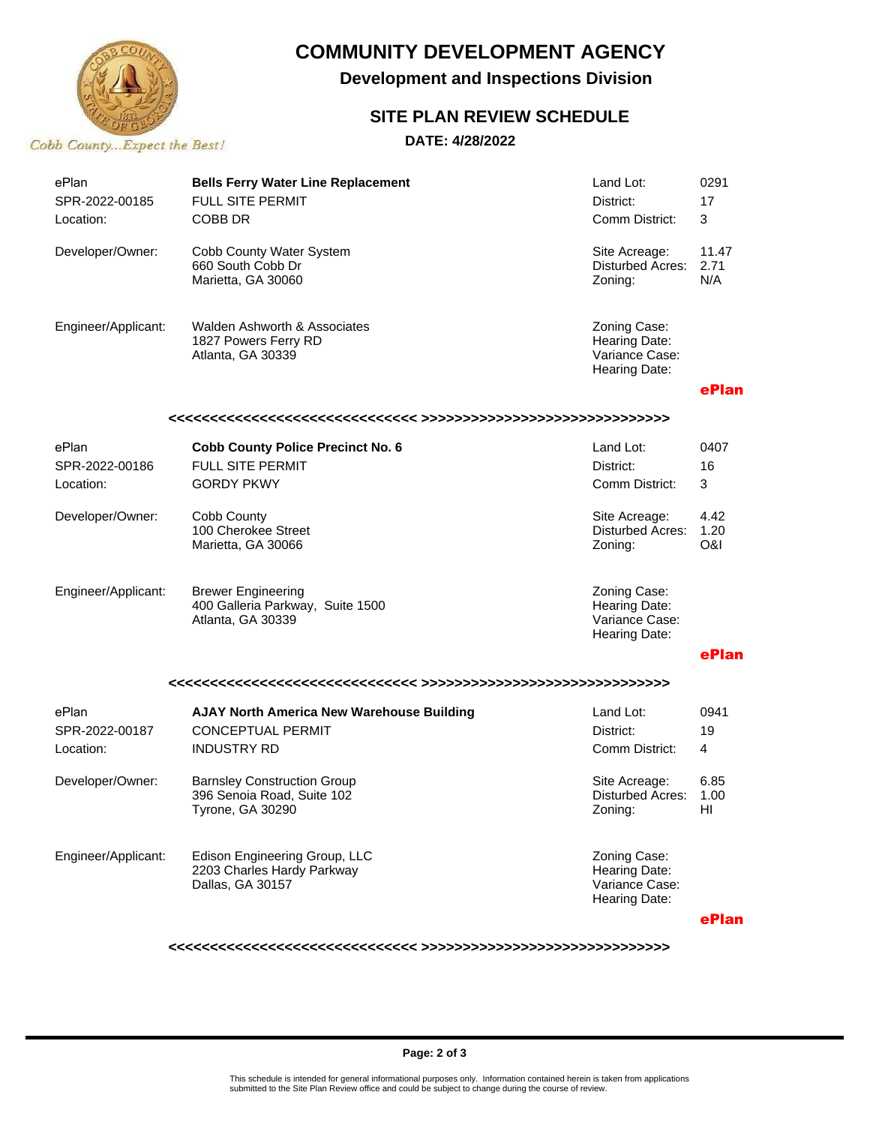

## **COMMUNITY DEVELOPMENT AGENCY**

**Development and Inspections Division**

### **SITE PLAN REVIEW SCHEDULE**

#### **DATE: 4/28/2022**

| ePlan<br>SPR-2022-00185<br>Location: | <b>Bells Ferry Water Line Replacement</b><br><b>FULL SITE PERMIT</b><br>COBB DR      | Land Lot:<br>District:<br>Comm District:                         | 0291<br>17<br>3      |  |  |  |  |
|--------------------------------------|--------------------------------------------------------------------------------------|------------------------------------------------------------------|----------------------|--|--|--|--|
| Developer/Owner:                     | Cobb County Water System<br>660 South Cobb Dr<br>Marietta, GA 30060                  | Site Acreage:<br>Disturbed Acres:<br>Zoning:                     | 11.47<br>2.71<br>N/A |  |  |  |  |
| Engineer/Applicant:                  | Walden Ashworth & Associates<br>1827 Powers Ferry RD<br>Atlanta, GA 30339            | Zoning Case:<br>Hearing Date:<br>Variance Case:<br>Hearing Date: |                      |  |  |  |  |
|                                      |                                                                                      |                                                                  | ePlan                |  |  |  |  |
|                                      |                                                                                      |                                                                  |                      |  |  |  |  |
| ePlan<br>SPR-2022-00186              | <b>Cobb County Police Precinct No. 6</b><br><b>FULL SITE PERMIT</b>                  | Land Lot:<br>District:                                           | 0407<br>16           |  |  |  |  |
| Location:                            | <b>GORDY PKWY</b>                                                                    | Comm District:                                                   | 3                    |  |  |  |  |
| Developer/Owner:                     | Cobb County<br>100 Cherokee Street<br>Marietta, GA 30066                             | Site Acreage:<br>Disturbed Acres:<br>Zoning:                     | 4.42<br>1.20<br>O&I  |  |  |  |  |
| Engineer/Applicant:                  | <b>Brewer Engineering</b><br>400 Galleria Parkway, Suite 1500<br>Atlanta, GA 30339   | Zoning Case:<br>Hearing Date:<br>Variance Case:<br>Hearing Date: |                      |  |  |  |  |
|                                      |                                                                                      |                                                                  | ePlan                |  |  |  |  |
|                                      |                                                                                      |                                                                  |                      |  |  |  |  |
| ePlan                                | <b>AJAY North America New Warehouse Building</b>                                     | Land Lot:                                                        | 0941                 |  |  |  |  |
| SPR-2022-00187                       | <b>CONCEPTUAL PERMIT</b>                                                             | District:                                                        | 19                   |  |  |  |  |
| Location:                            | <b>INDUSTRY RD</b>                                                                   | Comm District:                                                   | 4                    |  |  |  |  |
| Developer/Owner:                     | <b>Barnsley Construction Group</b><br>396 Senoia Road, Suite 102<br>Tyrone, GA 30290 | Site Acreage:<br><b>Disturbed Acres:</b><br>Zoning:              | 6.85<br>1.00<br>HI   |  |  |  |  |
| Engineer/Applicant:                  | Edison Engineering Group, LLC<br>2203 Charles Hardy Parkway<br>Dallas, GA 30157      | Zoning Case:<br>Hearing Date:<br>Variance Case:<br>Hearing Date: |                      |  |  |  |  |
|                                      |                                                                                      |                                                                  | ePlan                |  |  |  |  |

**<<<<<<<<<<<<<<<<<<<<<<<<<<<<<< >>>>>>>>>>>>>>>>>>>>>>>>>>>>>>**

#### **Page: 2 of 3**